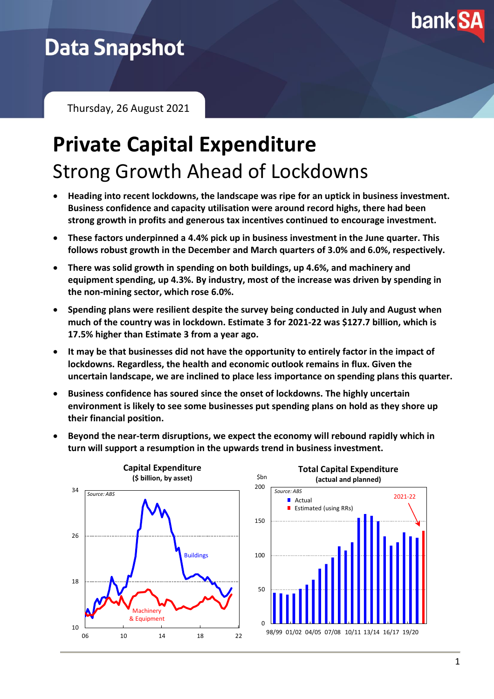

# **Data Snapshot**

Thursday, 26 August 2021

# **Private Capital Expenditure** Strong Growth Ahead of Lockdowns

- **Heading into recent lockdowns, the landscape was ripe for an uptick in business investment. Business confidence and capacity utilisation were around record highs, there had been strong growth in profits and generous tax incentives continued to encourage investment.**
- **These factors underpinned a 4.4% pick up in business investment in the June quarter. This follows robust growth in the December and March quarters of 3.0% and 6.0%, respectively.**
- **There was solid growth in spending on both buildings, up 4.6%, and machinery and equipment spending, up 4.3%. By industry, most of the increase was driven by spending in the non-mining sector, which rose 6.0%.**
- **Spending plans were resilient despite the survey being conducted in July and August when much of the country was in lockdown. Estimate 3 for 2021-22 was \$127.7 billion, which is 17.5% higher than Estimate 3 from a year ago.**
- **It may be that businesses did not have the opportunity to entirely factor in the impact of lockdowns. Regardless, the health and economic outlook remains in flux. Given the uncertain landscape, we are inclined to place less importance on spending plans this quarter.**
- **Business confidence has soured since the onset of lockdowns. The highly uncertain environment is likely to see some businesses put spending plans on hold as they shore up their financial position.**
- **Beyond the near-term disruptions, we expect the economy will rebound rapidly which in turn will support a resumption in the upwards trend in business investment.**



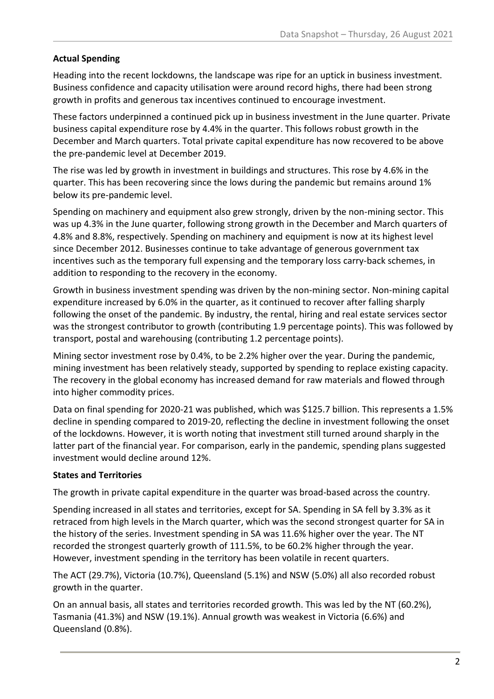# **Actual Spending**

Heading into the recent lockdowns, the landscape was ripe for an uptick in business investment. Business confidence and capacity utilisation were around record highs, there had been strong growth in profits and generous tax incentives continued to encourage investment.

These factors underpinned a continued pick up in business investment in the June quarter. Private business capital expenditure rose by 4.4% in the quarter. This follows robust growth in the December and March quarters. Total private capital expenditure has now recovered to be above the pre-pandemic level at December 2019.

The rise was led by growth in investment in buildings and structures. This rose by 4.6% in the quarter. This has been recovering since the lows during the pandemic but remains around 1% below its pre-pandemic level.

Spending on machinery and equipment also grew strongly, driven by the non-mining sector. This was up 4.3% in the June quarter, following strong growth in the December and March quarters of 4.8% and 8.8%, respectively. Spending on machinery and equipment is now at its highest level since December 2012. Businesses continue to take advantage of generous government tax incentives such as the temporary full expensing and the temporary loss carry-back schemes, in addition to responding to the recovery in the economy.

Growth in business investment spending was driven by the non-mining sector. Non-mining capital expenditure increased by 6.0% in the quarter, as it continued to recover after falling sharply following the onset of the pandemic. By industry, the rental, hiring and real estate services sector was the strongest contributor to growth (contributing 1.9 percentage points). This was followed by transport, postal and warehousing (contributing 1.2 percentage points).

Mining sector investment rose by 0.4%, to be 2.2% higher over the year. During the pandemic, mining investment has been relatively steady, supported by spending to replace existing capacity. The recovery in the global economy has increased demand for raw materials and flowed through into higher commodity prices.

Data on final spending for 2020-21 was published, which was \$125.7 billion. This represents a 1.5% decline in spending compared to 2019-20, reflecting the decline in investment following the onset of the lockdowns. However, it is worth noting that investment still turned around sharply in the latter part of the financial year. For comparison, early in the pandemic, spending plans suggested investment would decline around 12%.

### **States and Territories**

The growth in private capital expenditure in the quarter was broad-based across the country.

Spending increased in all states and territories, except for SA. Spending in SA fell by 3.3% as it retraced from high levels in the March quarter, which was the second strongest quarter for SA in the history of the series. Investment spending in SA was 11.6% higher over the year. The NT recorded the strongest quarterly growth of 111.5%, to be 60.2% higher through the year. However, investment spending in the territory has been volatile in recent quarters.

The ACT (29.7%), Victoria (10.7%), Queensland (5.1%) and NSW (5.0%) all also recorded robust growth in the quarter.

On an annual basis, all states and territories recorded growth. This was led by the NT (60.2%), Tasmania (41.3%) and NSW (19.1%). Annual growth was weakest in Victoria (6.6%) and Queensland (0.8%).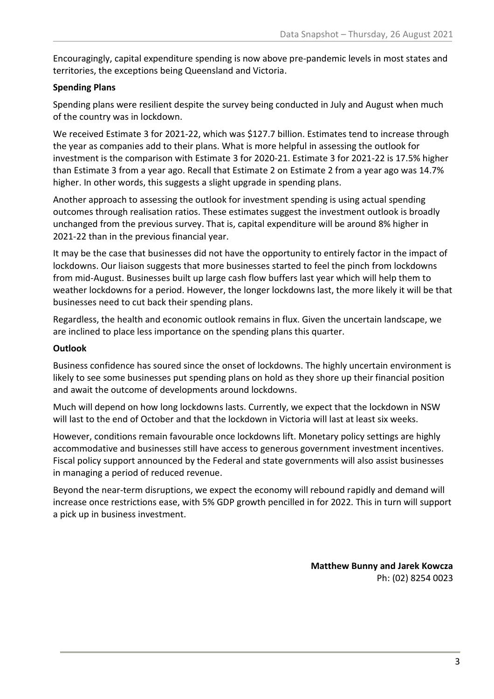Encouragingly, capital expenditure spending is now above pre-pandemic levels in most states and territories, the exceptions being Queensland and Victoria.

# **Spending Plans**

Spending plans were resilient despite the survey being conducted in July and August when much of the country was in lockdown.

We received Estimate 3 for 2021-22, which was \$127.7 billion. Estimates tend to increase through the year as companies add to their plans. What is more helpful in assessing the outlook for investment is the comparison with Estimate 3 for 2020-21. Estimate 3 for 2021-22 is 17.5% higher than Estimate 3 from a year ago. Recall that Estimate 2 on Estimate 2 from a year ago was 14.7% higher. In other words, this suggests a slight upgrade in spending plans.

Another approach to assessing the outlook for investment spending is using actual spending outcomes through realisation ratios. These estimates suggest the investment outlook is broadly unchanged from the previous survey. That is, capital expenditure will be around 8% higher in 2021-22 than in the previous financial year.

It may be the case that businesses did not have the opportunity to entirely factor in the impact of lockdowns. Our liaison suggests that more businesses started to feel the pinch from lockdowns from mid-August. Businesses built up large cash flow buffers last year which will help them to weather lockdowns for a period. However, the longer lockdowns last, the more likely it will be that businesses need to cut back their spending plans.

Regardless, the health and economic outlook remains in flux. Given the uncertain landscape, we are inclined to place less importance on the spending plans this quarter.

## **Outlook**

Business confidence has soured since the onset of lockdowns. The highly uncertain environment is likely to see some businesses put spending plans on hold as they shore up their financial position and await the outcome of developments around lockdowns.

Much will depend on how long lockdowns lasts. Currently, we expect that the lockdown in NSW will last to the end of October and that the lockdown in Victoria will last at least six weeks.

However, conditions remain favourable once lockdowns lift. Monetary policy settings are highly accommodative and businesses still have access to generous government investment incentives. Fiscal policy support announced by the Federal and state governments will also assist businesses in managing a period of reduced revenue.

Beyond the near-term disruptions, we expect the economy will rebound rapidly and demand will increase once restrictions ease, with 5% GDP growth pencilled in for 2022. This in turn will support a pick up in business investment.

> **Matthew Bunny and Jarek Kowcza** Ph: (02) 8254 0023